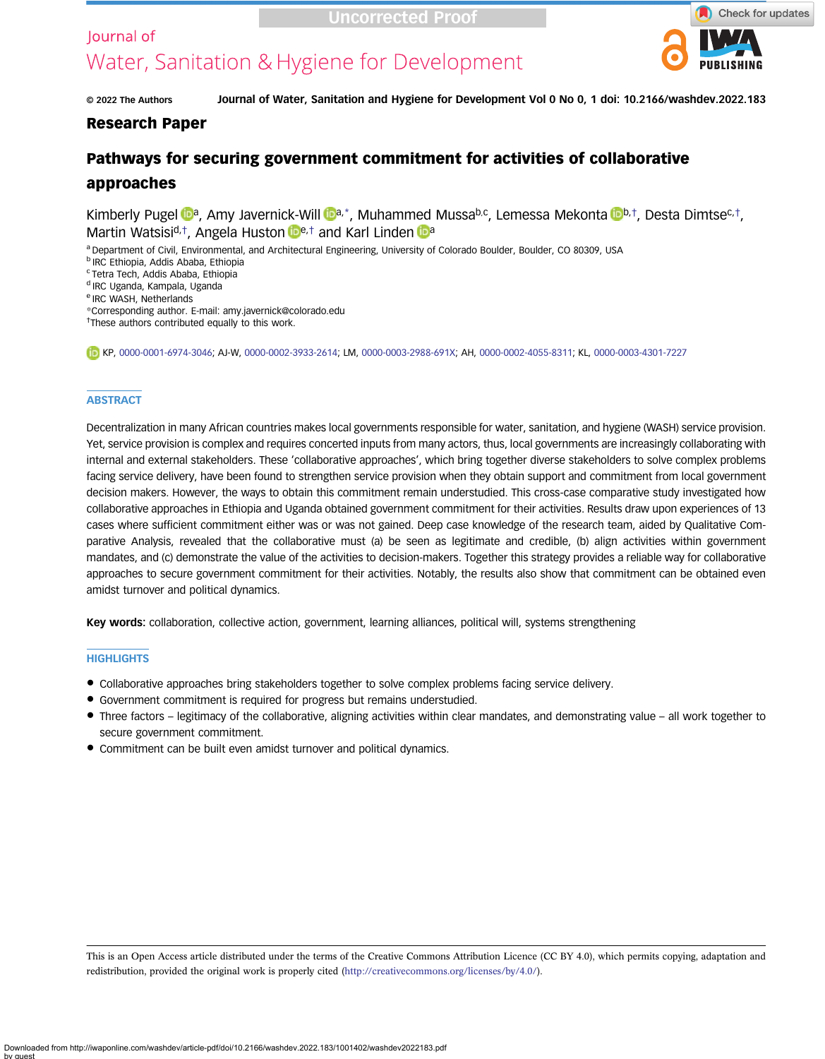# lournal of

# Uncorrected Proof

# Water, Sanitation & Hygiene for Development



© 2022 The Authors Journal of Water, Sanitation and Hygiene for Development Vol 0 No 0, 1 doi: 10.2166/washdev.2022.183

# Research Paper

# Pathways for securing government commitment for activities of collaborative approaches

Kim[b](https://orcid.org/0000-0003-2988-691X)erly Pugel **b[a](https://orcid.org/0000-0002-3933-2614)**, Amy Javernick-Will **Da**,\*, Muhammed Mussa<sup>b,c</sup>, Lemessa Mekonta bb,t, Desta Dimtsec,t, M[a](https://orcid.org/0000-0003-4301-7227)rtin Watsisi<sup>d,†</sup>, Angela Huston **De**,† and Karl Linden **Da** 

a Department of Civil, Environmental, and Architectural Engineering, University of Colorado Boulder, Boulder, CO 80309, USA

- <sup>b</sup> IRC Ethiopia, Addis Ababa, Ethiopia
- <sup>c</sup> Tetra Tech, Addis Ababa, Ethiopia
- <sup>d</sup> IRC Uganda, Kampala, Uganda
- <sup>e</sup> IRC WASH, Netherlands

\*Corresponding author. E-mail: [amy.javernick@colorado.edu](mailto:amy.javernick@colorado.edu)

<sup>†</sup>These authors contributed equally to this work.

KP, [0000-0001-6974-3046;](http://orcid.org/0000-0001-6974-3046) AJ-W, [0000-0002-3933-2614;](http://orcid.org/0000-0002-3933-2614) LM, [0000-0003-2988-691X;](http://orcid.org/0000-0003-2988-691X) AH, [0000-0002-4055-8311](http://orcid.org/0000-0002-4055-8311); KL, [0000-0003-4301-7227](http://orcid.org/0000-0003-4301-7227)

#### **ABSTRACT**

Decentralization in many African countries makes local governments responsible for water, sanitation, and hygiene (WASH) service provision. Yet, service provision is complex and requires concerted inputs from many actors, thus, local governments are increasingly collaborating with internal and external stakeholders. These 'collaborative approaches', which bring together diverse stakeholders to solve complex problems facing service delivery, have been found to strengthen service provision when they obtain support and commitment from local government decision makers. However, the ways to obtain this commitment remain understudied. This cross-case comparative study investigated how collaborative approaches in Ethiopia and Uganda obtained government commitment for their activities. Results draw upon experiences of 13 cases where sufficient commitment either was or was not gained. Deep case knowledge of the research team, aided by Qualitative Comparative Analysis, revealed that the collaborative must (a) be seen as legitimate and credible, (b) align activities within government mandates, and (c) demonstrate the value of the activities to decision-makers. Together this strategy provides a reliable way for collaborative approaches to secure government commitment for their activities. Notably, the results also show that commitment can be obtained even amidst turnover and political dynamics.

Key words: collaboration, collective action, government, learning alliances, political will, systems strengthening

#### **HIGHLIGHTS**

- Collaborative approaches bring stakeholders together to solve complex problems facing service delivery.
- Government commitment is required for progress but remains understudied.
- Three factors legitimacy of the collaborative, aligning activities within clear mandates, and demonstrating value all work together to secure government commitment.
- Commitment can be built even amidst turnover and political dynamics.

This is an Open Access article distributed under the terms of the Creative Commons Attribution Licence (CC BY 4.0), which permits copying, adaptation and redistribution, provided the original work is properly cited ([http://creativecommons.org/licenses/by/4.0/\)](http://creativecommons.org/licenses/by/4.0/).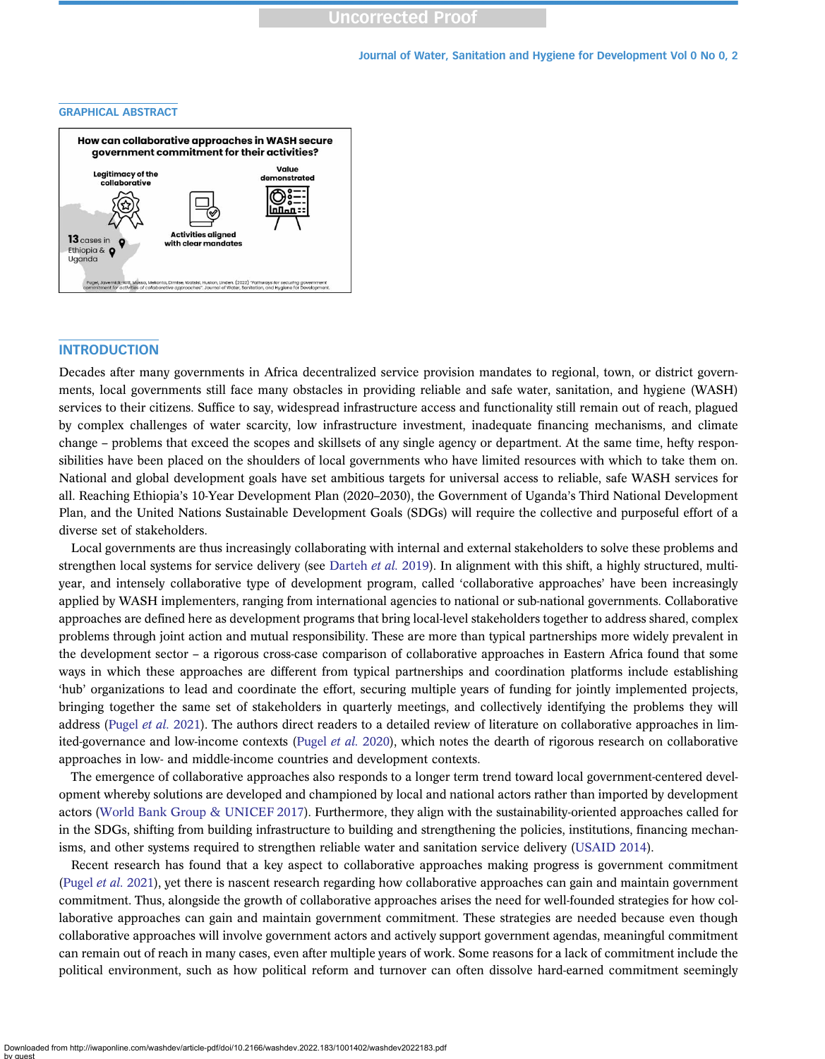#### Journal of Water, Sanitation and Hygiene for Development Vol 0 No 0, 2

#### GRAPHICAL ABSTRACT



# **INTRODUCTION**

Decades after many governments in Africa decentralized service provision mandates to regional, town, or district governments, local governments still face many obstacles in providing reliable and safe water, sanitation, and hygiene (WASH) services to their citizens. Suffice to say, widespread infrastructure access and functionality still remain out of reach, plagued by complex challenges of water scarcity, low infrastructure investment, inadequate financing mechanisms, and climate change – problems that exceed the scopes and skillsets of any single agency or department. At the same time, hefty responsibilities have been placed on the shoulders of local governments who have limited resources with which to take them on. National and global development goals have set ambitious targets for universal access to reliable, safe WASH services for all. Reaching Ethiopia's 10-Year Development Plan (2020–2030), the Government of Uganda's Third National Development Plan, and the United Nations Sustainable Development Goals (SDGs) will require the collective and purposeful effort of a diverse set of stakeholders.

Local governments are thus increasingly collaborating with internal and external stakeholders to solve these problems and strengthen local systems for service delivery (see [Darteh](#page-11-0) et al. 2019). In alignment with this shift, a highly structured, multiyear, and intensely collaborative type of development program, called 'collaborative approaches' have been increasingly applied by WASH implementers, ranging from international agencies to national or sub-national governments. Collaborative approaches are defined here as development programs that bring local-level stakeholders together to address shared, complex problems through joint action and mutual responsibility. These are more than typical partnerships more widely prevalent in the development sector – a rigorous cross-case comparison of collaborative approaches in Eastern Africa found that some ways in which these approaches are different from typical partnerships and coordination platforms include establishing 'hub' organizations to lead and coordinate the effort, securing multiple years of funding for jointly implemented projects, bringing together the same set of stakeholders in quarterly meetings, and collectively identifying the problems they will address ([Pugel](#page-12-0) et al. 2021). The authors direct readers to a detailed review of literature on collaborative approaches in limited-governance and low-income contexts [\(Pugel](#page-12-0) et al. 2020), which notes the dearth of rigorous research on collaborative approaches in low- and middle-income countries and development contexts.

The emergence of collaborative approaches also responds to a longer term trend toward local government-centered development whereby solutions are developed and championed by local and national actors rather than imported by development actors ([World Bank Group & UNICEF 2017\)](#page-12-0). Furthermore, they align with the sustainability-oriented approaches called for in the SDGs, shifting from building infrastructure to building and strengthening the policies, institutions, financing mechanisms, and other systems required to strengthen reliable water and sanitation service delivery [\(USAID 2014](#page-12-0)).

Recent research has found that a key aspect to collaborative approaches making progress is government commitment ([Pugel](#page-12-0) et al. 2021), yet there is nascent research regarding how collaborative approaches can gain and maintain government commitment. Thus, alongside the growth of collaborative approaches arises the need for well-founded strategies for how collaborative approaches can gain and maintain government commitment. These strategies are needed because even though collaborative approaches will involve government actors and actively support government agendas, meaningful commitment can remain out of reach in many cases, even after multiple years of work. Some reasons for a lack of commitment include the political environment, such as how political reform and turnover can often dissolve hard-earned commitment seemingly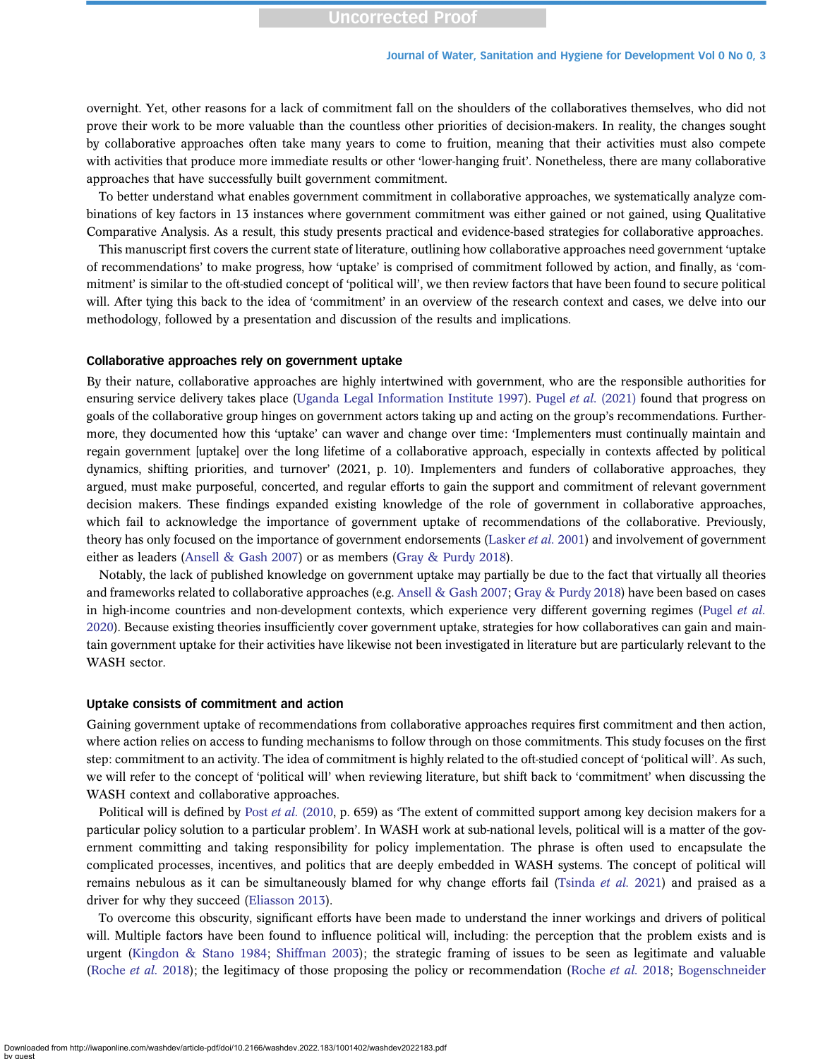overnight. Yet, other reasons for a lack of commitment fall on the shoulders of the collaboratives themselves, who did not prove their work to be more valuable than the countless other priorities of decision-makers. In reality, the changes sought by collaborative approaches often take many years to come to fruition, meaning that their activities must also compete with activities that produce more immediate results or other 'lower-hanging fruit'. Nonetheless, there are many collaborative approaches that have successfully built government commitment.

To better understand what enables government commitment in collaborative approaches, we systematically analyze combinations of key factors in 13 instances where government commitment was either gained or not gained, using Qualitative Comparative Analysis. As a result, this study presents practical and evidence-based strategies for collaborative approaches.

This manuscript first covers the current state of literature, outlining how collaborative approaches need government 'uptake of recommendations' to make progress, how 'uptake' is comprised of commitment followed by action, and finally, as 'commitment' is similar to the oft-studied concept of 'political will', we then review factors that have been found to secure political will. After tying this back to the idea of 'commitment' in an overview of the research context and cases, we delve into our methodology, followed by a presentation and discussion of the results and implications.

#### Collaborative approaches rely on government uptake

By their nature, collaborative approaches are highly intertwined with government, who are the responsible authorities for ensuring service delivery takes place [\(Uganda Legal Information Institute 1997](#page-12-0)). Pugel et al. [\(2021\)](#page-12-0) found that progress on goals of the collaborative group hinges on government actors taking up and acting on the group's recommendations. Furthermore, they documented how this 'uptake' can waver and change over time: 'Implementers must continually maintain and regain government [uptake] over the long lifetime of a collaborative approach, especially in contexts affected by political dynamics, shifting priorities, and turnover' (2021, p. 10). Implementers and funders of collaborative approaches, they argued, must make purposeful, concerted, and regular efforts to gain the support and commitment of relevant government decision makers. These findings expanded existing knowledge of the role of government in collaborative approaches, which fail to acknowledge the importance of government uptake of recommendations of the collaborative. Previously, theory has only focused on the importance of government endorsements ([Lasker](#page-12-0) *et al.* 2001) and involvement of government either as leaders ([Ansell & Gash 2007\)](#page-11-0) or as members ([Gray & Purdy 2018](#page-11-0)).

Notably, the lack of published knowledge on government uptake may partially be due to the fact that virtually all theories and frameworks related to collaborative approaches (e.g. [Ansell & Gash 2007](#page-11-0); [Gray & Purdy 2018\)](#page-11-0) have been based on cases in high-income countries and non-development contexts, which experience very different governing regimes [\(Pugel](#page-12-0) et al. [2020\)](#page-12-0). Because existing theories insufficiently cover government uptake, strategies for how collaboratives can gain and maintain government uptake for their activities have likewise not been investigated in literature but are particularly relevant to the WASH sector.

#### Uptake consists of commitment and action

Gaining government uptake of recommendations from collaborative approaches requires first commitment and then action, where action relies on access to funding mechanisms to follow through on those commitments. This study focuses on the first step: commitment to an activity. The idea of commitment is highly related to the oft-studied concept of 'political will'. As such, we will refer to the concept of 'political will' when reviewing literature, but shift back to 'commitment' when discussing the WASH context and collaborative approaches.

Political will is defined by Post et al. [\(2010](#page-12-0), p. 659) as 'The extent of committed support among key decision makers for a particular policy solution to a particular problem'. In WASH work at sub-national levels, political will is a matter of the government committing and taking responsibility for policy implementation. The phrase is often used to encapsulate the complicated processes, incentives, and politics that are deeply embedded in WASH systems. The concept of political will remains nebulous as it can be simultaneously blamed for why change efforts fail ([Tsinda](#page-12-0) et al. 2021) and praised as a driver for why they succeed ([Eliasson 2013\)](#page-11-0).

To overcome this obscurity, significant efforts have been made to understand the inner workings and drivers of political will. Multiple factors have been found to influence political will, including: the perception that the problem exists and is urgent ([Kingdon & Stano 1984](#page-12-0); [Shiffman 2003](#page-12-0)); the strategic framing of issues to be seen as legitimate and valuable [\(Roche](#page-12-0) et al. 2018); the legitimacy of those proposing the policy or recommendation ([Roche](#page-12-0) et al. 2018; [Bogenschneider](#page-11-0)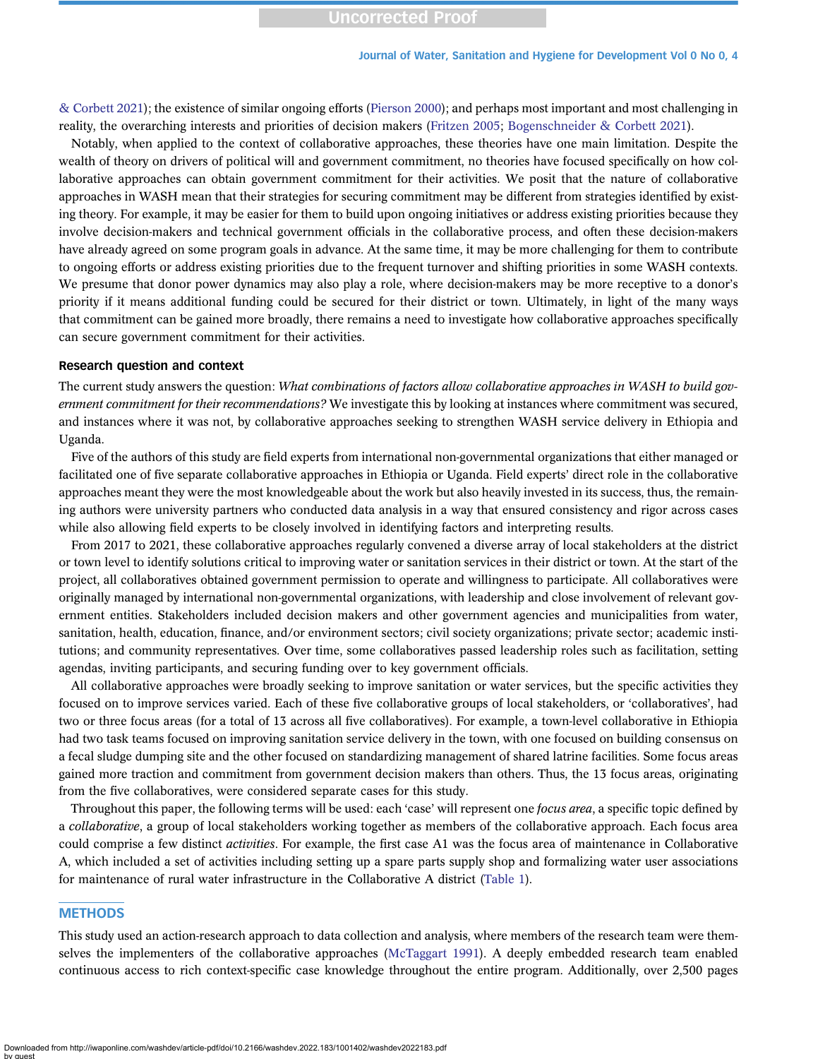[& Corbett 2021](#page-11-0)); the existence of similar ongoing efforts ([Pierson 2000](#page-12-0)); and perhaps most important and most challenging in reality, the overarching interests and priorities of decision makers [\(Fritzen 2005;](#page-11-0) [Bogenschneider & Corbett 2021\)](#page-11-0).

Notably, when applied to the context of collaborative approaches, these theories have one main limitation. Despite the wealth of theory on drivers of political will and government commitment, no theories have focused specifically on how collaborative approaches can obtain government commitment for their activities. We posit that the nature of collaborative approaches in WASH mean that their strategies for securing commitment may be different from strategies identified by existing theory. For example, it may be easier for them to build upon ongoing initiatives or address existing priorities because they involve decision-makers and technical government officials in the collaborative process, and often these decision-makers have already agreed on some program goals in advance. At the same time, it may be more challenging for them to contribute to ongoing efforts or address existing priorities due to the frequent turnover and shifting priorities in some WASH contexts. We presume that donor power dynamics may also play a role, where decision-makers may be more receptive to a donor's priority if it means additional funding could be secured for their district or town. Ultimately, in light of the many ways that commitment can be gained more broadly, there remains a need to investigate how collaborative approaches specifically can secure government commitment for their activities.

#### Research question and context

The current study answers the question: What combinations of factors allow collaborative approaches in WASH to build government commitment for their recommendations? We investigate this by looking at instances where commitment was secured, and instances where it was not, by collaborative approaches seeking to strengthen WASH service delivery in Ethiopia and Uganda.

Five of the authors of this study are field experts from international non-governmental organizations that either managed or facilitated one of five separate collaborative approaches in Ethiopia or Uganda. Field experts' direct role in the collaborative approaches meant they were the most knowledgeable about the work but also heavily invested in its success, thus, the remaining authors were university partners who conducted data analysis in a way that ensured consistency and rigor across cases while also allowing field experts to be closely involved in identifying factors and interpreting results.

From 2017 to 2021, these collaborative approaches regularly convened a diverse array of local stakeholders at the district or town level to identify solutions critical to improving water or sanitation services in their district or town. At the start of the project, all collaboratives obtained government permission to operate and willingness to participate. All collaboratives were originally managed by international non-governmental organizations, with leadership and close involvement of relevant government entities. Stakeholders included decision makers and other government agencies and municipalities from water, sanitation, health, education, finance, and/or environment sectors; civil society organizations; private sector; academic institutions; and community representatives. Over time, some collaboratives passed leadership roles such as facilitation, setting agendas, inviting participants, and securing funding over to key government officials.

All collaborative approaches were broadly seeking to improve sanitation or water services, but the specific activities they focused on to improve services varied. Each of these five collaborative groups of local stakeholders, or 'collaboratives', had two or three focus areas (for a total of 13 across all five collaboratives). For example, a town-level collaborative in Ethiopia had two task teams focused on improving sanitation service delivery in the town, with one focused on building consensus on a fecal sludge dumping site and the other focused on standardizing management of shared latrine facilities. Some focus areas gained more traction and commitment from government decision makers than others. Thus, the 13 focus areas, originating from the five collaboratives, were considered separate cases for this study.

Throughout this paper, the following terms will be used: each 'case' will represent one *focus area*, a specific topic defined by a collaborative, a group of local stakeholders working together as members of the collaborative approach. Each focus area could comprise a few distinct activities. For example, the first case A1 was the focus area of maintenance in Collaborative A, which included a set of activities including setting up a spare parts supply shop and formalizing water user associations for maintenance of rural water infrastructure in the Collaborative A district ([Table 1](#page-4-0)).

# **METHODS**

This study used an action-research approach to data collection and analysis, where members of the research team were themselves the implementers of the collaborative approaches ([McTaggart 1991](#page-12-0)). A deeply embedded research team enabled continuous access to rich context-specific case knowledge throughout the entire program. Additionally, over 2,500 pages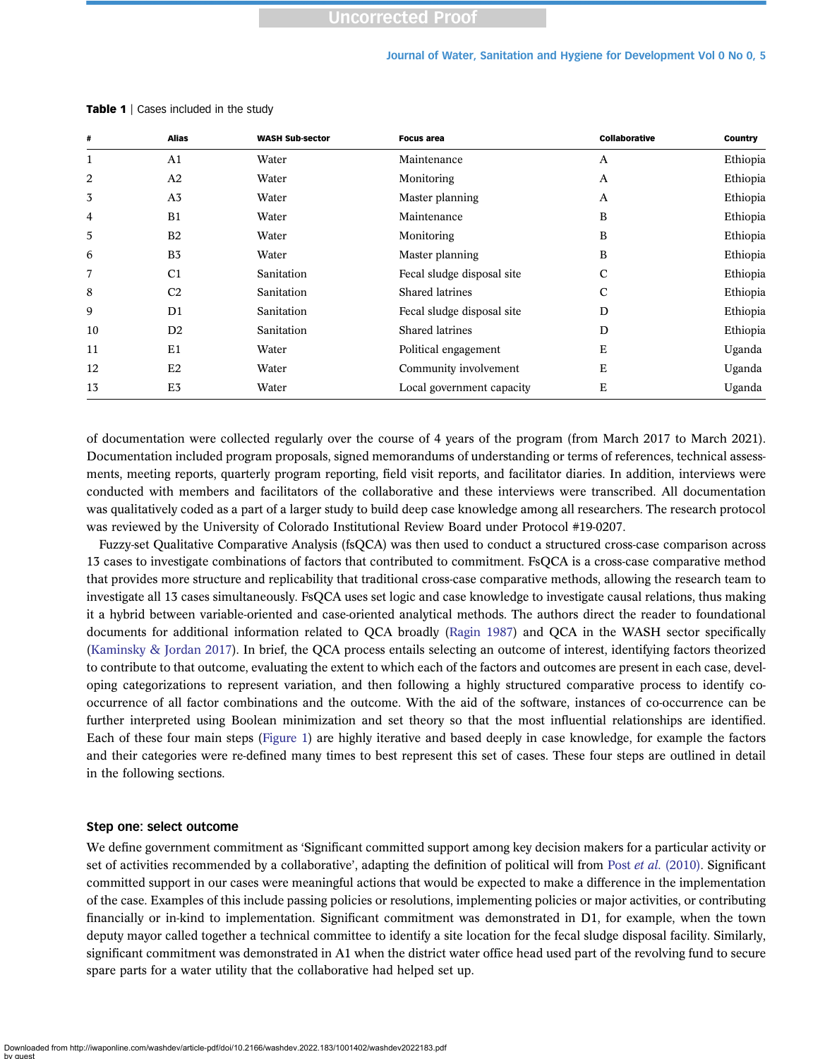#### Journal of Water, Sanitation and Hygiene for Development Vol 0 No 0, 5

| Alias<br>#     |                | <b>WASH Sub-sector</b> | <b>Focus area</b>          | Collaborative | <b>Country</b> |
|----------------|----------------|------------------------|----------------------------|---------------|----------------|
| 1              | A1             | Water                  | Maintenance                | A             | Ethiopia       |
| 2              | A2             | Water                  | Monitoring                 | A             | Ethiopia       |
| 3              | A <sub>3</sub> | Water                  | Master planning            | A             | Ethiopia       |
| $\overline{4}$ | B1             | Water                  | Maintenance                | B             | Ethiopia       |
| 5              | B <sub>2</sub> | Water                  | Monitoring                 | B             | Ethiopia       |
| 6              | B <sub>3</sub> | Water                  | Master planning            | B             | Ethiopia       |
| 7              | C <sub>1</sub> | Sanitation             | Fecal sludge disposal site | C             | Ethiopia       |
| 8              | C <sub>2</sub> | Sanitation             | Shared latrines            | C             | Ethiopia       |
| 9              | D1             | Sanitation             | Fecal sludge disposal site | D             | Ethiopia       |
| 10             | D <sub>2</sub> | Sanitation             | Shared latrines            | D             | Ethiopia       |
| 11             | E1             | Water                  | Political engagement       | E             | Uganda         |
| 12             | E2             | Water                  | Community involvement      | E             | Uganda         |
| 13             | E <sub>3</sub> | Water                  | Local government capacity  | Ε             | Uganda         |

<span id="page-4-0"></span>Table 1 | Cases included in the study

of documentation were collected regularly over the course of 4 years of the program (from March 2017 to March 2021). Documentation included program proposals, signed memorandums of understanding or terms of references, technical assessments, meeting reports, quarterly program reporting, field visit reports, and facilitator diaries. In addition, interviews were conducted with members and facilitators of the collaborative and these interviews were transcribed. All documentation was qualitatively coded as a part of a larger study to build deep case knowledge among all researchers. The research protocol was reviewed by the University of Colorado Institutional Review Board under Protocol #19-0207.

Fuzzy-set Qualitative Comparative Analysis (fsQCA) was then used to conduct a structured cross-case comparison across 13 cases to investigate combinations of factors that contributed to commitment. FsQCA is a cross-case comparative method that provides more structure and replicability that traditional cross-case comparative methods, allowing the research team to investigate all 13 cases simultaneously. FsQCA uses set logic and case knowledge to investigate causal relations, thus making it a hybrid between variable-oriented and case-oriented analytical methods. The authors direct the reader to foundational documents for additional information related to QCA broadly ([Ragin 1987](#page-12-0)) and QCA in the WASH sector specifically [\(Kaminsky & Jordan 2017](#page-12-0)). In brief, the QCA process entails selecting an outcome of interest, identifying factors theorized to contribute to that outcome, evaluating the extent to which each of the factors and outcomes are present in each case, developing categorizations to represent variation, and then following a highly structured comparative process to identify cooccurrence of all factor combinations and the outcome. With the aid of the software, instances of co-occurrence can be further interpreted using Boolean minimization and set theory so that the most influential relationships are identified. Each of these four main steps ([Figure 1\)](#page-5-0) are highly iterative and based deeply in case knowledge, for example the factors and their categories were re-defined many times to best represent this set of cases. These four steps are outlined in detail in the following sections.

#### Step one: select outcome

We define government commitment as 'Significant committed support among key decision makers for a particular activity or set of activities recommended by a collaborative', adapting the definition of political will from Post et al. [\(2010\).](#page-12-0) Significant committed support in our cases were meaningful actions that would be expected to make a difference in the implementation of the case. Examples of this include passing policies or resolutions, implementing policies or major activities, or contributing financially or in-kind to implementation. Significant commitment was demonstrated in D1, for example, when the town deputy mayor called together a technical committee to identify a site location for the fecal sludge disposal facility. Similarly, significant commitment was demonstrated in A1 when the district water office head used part of the revolving fund to secure spare parts for a water utility that the collaborative had helped set up.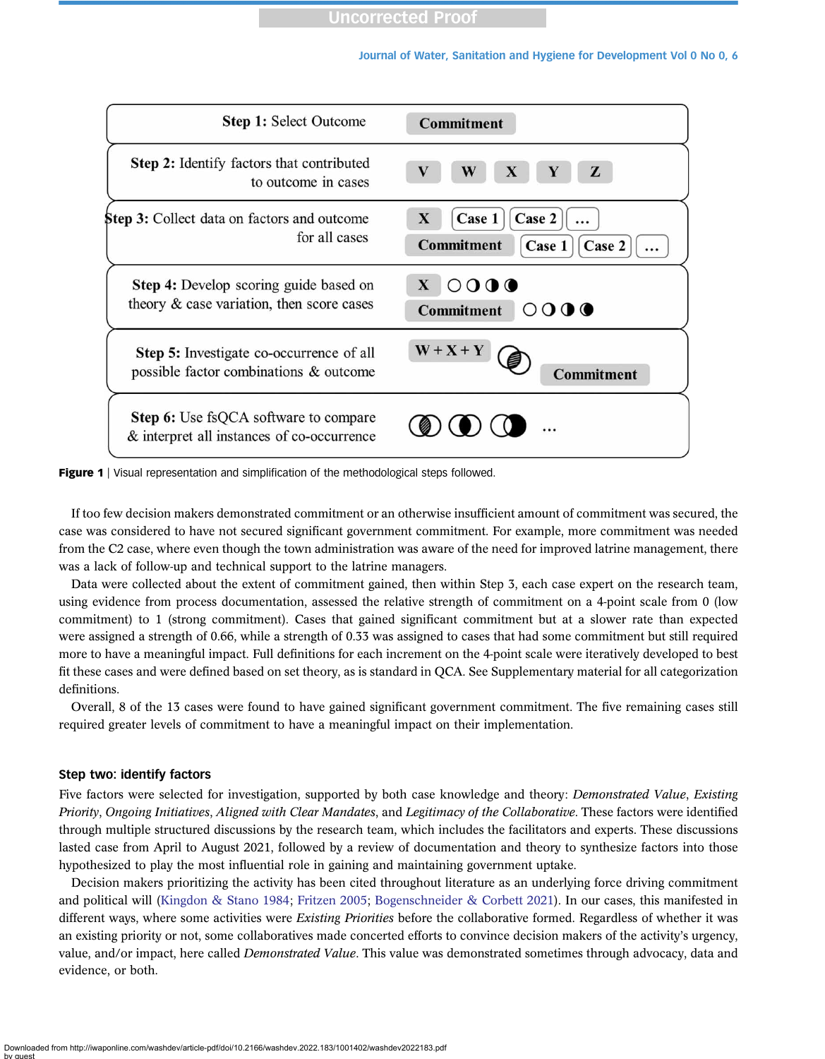<span id="page-5-0"></span>

| <b>Step 1: Select Outcome</b>                                                              | <b>Commitment</b>                                                          |
|--------------------------------------------------------------------------------------------|----------------------------------------------------------------------------|
| Step 2: Identify factors that contributed<br>to outcome in cases                           | $\mathbf{X}$<br>$\mathbf{V}$<br>W<br>Z                                     |
| Step 3: Collect data on factors and outcome<br>for all cases                               | Case 2<br>Case 1<br>X<br><b>Commitment</b><br>Case 1<br>Case 2<br>$\cdots$ |
| Step 4: Develop scoring guide based on<br>theory & case variation, then score cases        | 0000<br>$\mathbf{X}$<br>Commitment $\bigcirc$ O $\bigcirc$ $\bigcirc$      |
| Step 5: Investigate co-occurrence of all<br>possible factor combinations & outcome         | $W + X + Y$<br><b>Commitment</b>                                           |
| <b>Step 6:</b> Use fsQCA software to compare<br>& interpret all instances of co-occurrence |                                                                            |

**Figure 1** | Visual representation and simplification of the methodological steps followed.

If too few decision makers demonstrated commitment or an otherwise insufficient amount of commitment was secured, the case was considered to have not secured significant government commitment. For example, more commitment was needed from the C2 case, where even though the town administration was aware of the need for improved latrine management, there was a lack of follow-up and technical support to the latrine managers.

Data were collected about the extent of commitment gained, then within Step 3, each case expert on the research team, using evidence from process documentation, assessed the relative strength of commitment on a 4-point scale from 0 (low commitment) to 1 (strong commitment). Cases that gained significant commitment but at a slower rate than expected were assigned a strength of 0.66, while a strength of 0.33 was assigned to cases that had some commitment but still required more to have a meaningful impact. Full definitions for each increment on the 4-point scale were iteratively developed to best fit these cases and were defined based on set theory, as is standard in QCA. See Supplementary material for all categorization definitions.

Overall, 8 of the 13 cases were found to have gained significant government commitment. The five remaining cases still required greater levels of commitment to have a meaningful impact on their implementation.

#### Step two: identify factors

Five factors were selected for investigation, supported by both case knowledge and theory: Demonstrated Value, Existing Priority, Ongoing Initiatives, Aligned with Clear Mandates, and Legitimacy of the Collaborative. These factors were identified through multiple structured discussions by the research team, which includes the facilitators and experts. These discussions lasted case from April to August 2021, followed by a review of documentation and theory to synthesize factors into those hypothesized to play the most influential role in gaining and maintaining government uptake.

Decision makers prioritizing the activity has been cited throughout literature as an underlying force driving commitment and political will ([Kingdon & Stano 1984](#page-12-0); [Fritzen 2005](#page-11-0); [Bogenschneider & Corbett 2021](#page-11-0)). In our cases, this manifested in different ways, where some activities were *Existing Priorities* before the collaborative formed. Regardless of whether it was an existing priority or not, some collaboratives made concerted efforts to convince decision makers of the activity's urgency, value, and/or impact, here called *Demonstrated Value*. This value was demonstrated sometimes through advocacy, data and evidence, or both.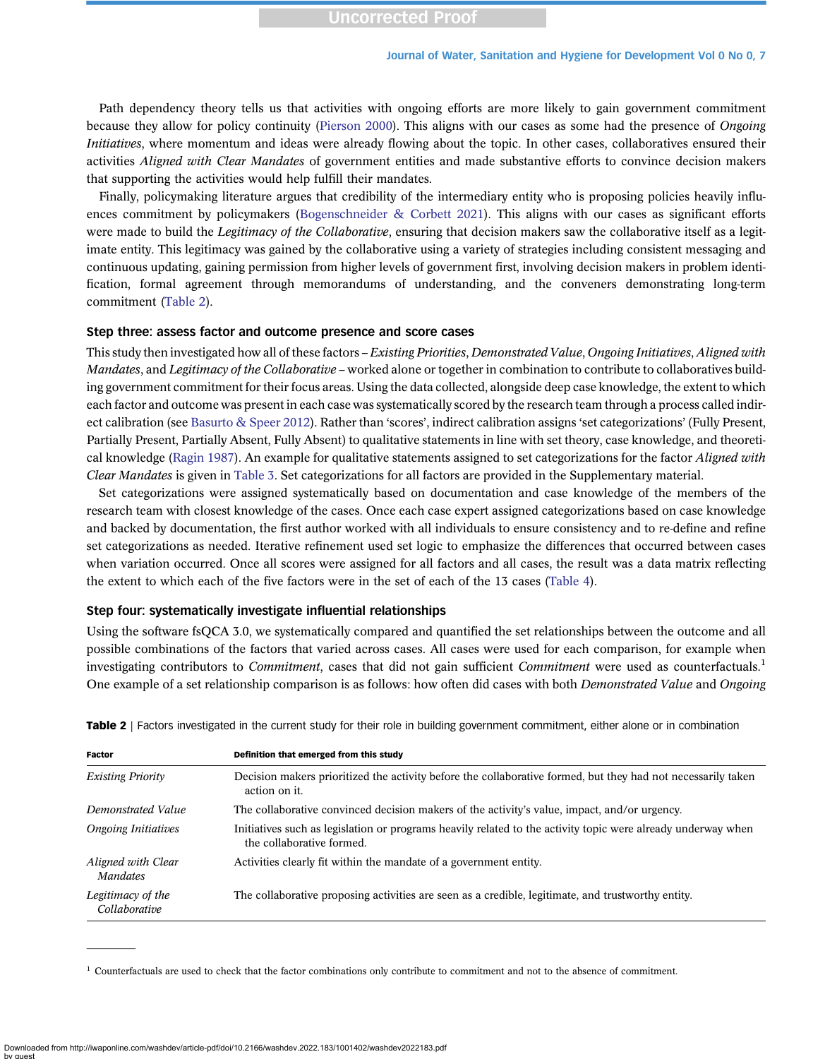Path dependency theory tells us that activities with ongoing efforts are more likely to gain government commitment because they allow for policy continuity [\(Pierson 2000\)](#page-12-0). This aligns with our cases as some had the presence of Ongoing Initiatives, where momentum and ideas were already flowing about the topic. In other cases, collaboratives ensured their activities Aligned with Clear Mandates of government entities and made substantive efforts to convince decision makers that supporting the activities would help fulfill their mandates.

Finally, policymaking literature argues that credibility of the intermediary entity who is proposing policies heavily influences commitment by policymakers [\(Bogenschneider & Corbett 2021\)](#page-11-0). This aligns with our cases as significant efforts were made to build the Legitimacy of the Collaborative, ensuring that decision makers saw the collaborative itself as a legitimate entity. This legitimacy was gained by the collaborative using a variety of strategies including consistent messaging and continuous updating, gaining permission from higher levels of government first, involving decision makers in problem identification, formal agreement through memorandums of understanding, and the conveners demonstrating long-term commitment (Table 2).

#### Step three: assess factor and outcome presence and score cases

This study then investigated how all of these factors – Existing Priorities, Demonstrated Value, Ongoing Initiatives, Aligned with Mandates, and Legitimacy of the Collaborative – worked alone or together in combination to contribute to collaboratives building government commitment for their focus areas. Using the data collected, alongside deep case knowledge, the extent to which each factor and outcome was present in each case was systematically scored by the research team through a process called indirect calibration (see [Basurto & Speer 2012](#page-11-0)). Rather than 'scores', indirect calibration assigns 'set categorizations' (Fully Present, Partially Present, Partially Absent, Fully Absent) to qualitative statements in line with set theory, case knowledge, and theoreti-cal knowledge ([Ragin 1987](#page-12-0)). An example for qualitative statements assigned to set categorizations for the factor *Aligned with* Clear Mandates is given in [Table 3.](#page-7-0) Set categorizations for all factors are provided in the Supplementary material.

Set categorizations were assigned systematically based on documentation and case knowledge of the members of the research team with closest knowledge of the cases. Once each case expert assigned categorizations based on case knowledge and backed by documentation, the first author worked with all individuals to ensure consistency and to re-define and refine set categorizations as needed. Iterative refinement used set logic to emphasize the differences that occurred between cases when variation occurred. Once all scores were assigned for all factors and all cases, the result was a data matrix reflecting the extent to which each of the five factors were in the set of each of the 13 cases ([Table 4](#page-7-0)).

#### Step four: systematically investigate influential relationships

Using the software fsQCA 3.0, we systematically compared and quantified the set relationships between the outcome and all possible combinations of the factors that varied across cases. All cases were used for each comparison, for example when investigating contributors to *Commitment*, cases that did not gain sufficient *Commitment* were used as counterfactuals.<sup>1</sup> One example of a set relationship comparison is as follows: how often did cases with both *Demonstrated Value* and Ongoing

| Factor                                | Definition that emerged from this study                                                                                                   |
|---------------------------------------|-------------------------------------------------------------------------------------------------------------------------------------------|
| <b>Existing Priority</b>              | Decision makers prioritized the activity before the collaborative formed, but they had not necessarily taken<br>action on it.             |
| Demonstrated Value                    | The collaborative convinced decision makers of the activity's value, impact, and/or urgency.                                              |
| <b>Ongoing Initiatives</b>            | Initiatives such as legislation or programs heavily related to the activity topic were already underway when<br>the collaborative formed. |
| Aligned with Clear<br><b>Mandates</b> | Activities clearly fit within the mandate of a government entity.                                                                         |
| Legitimacy of the<br>Collaborative    | The collaborative proposing activities are seen as a credible, legitimate, and trustworthy entity.                                        |

Table 2 | Factors investigated in the current study for their role in building government commitment, either alone or in combination

 $1$  Counterfactuals are used to check that the factor combinations only contribute to commitment and not to the absence of commitment.

Downloaded from http://iwaponline.com/washdev/article-pdf/doi/10.2166/washdev.2022.183/1001402/washdev2022183.pdf by guest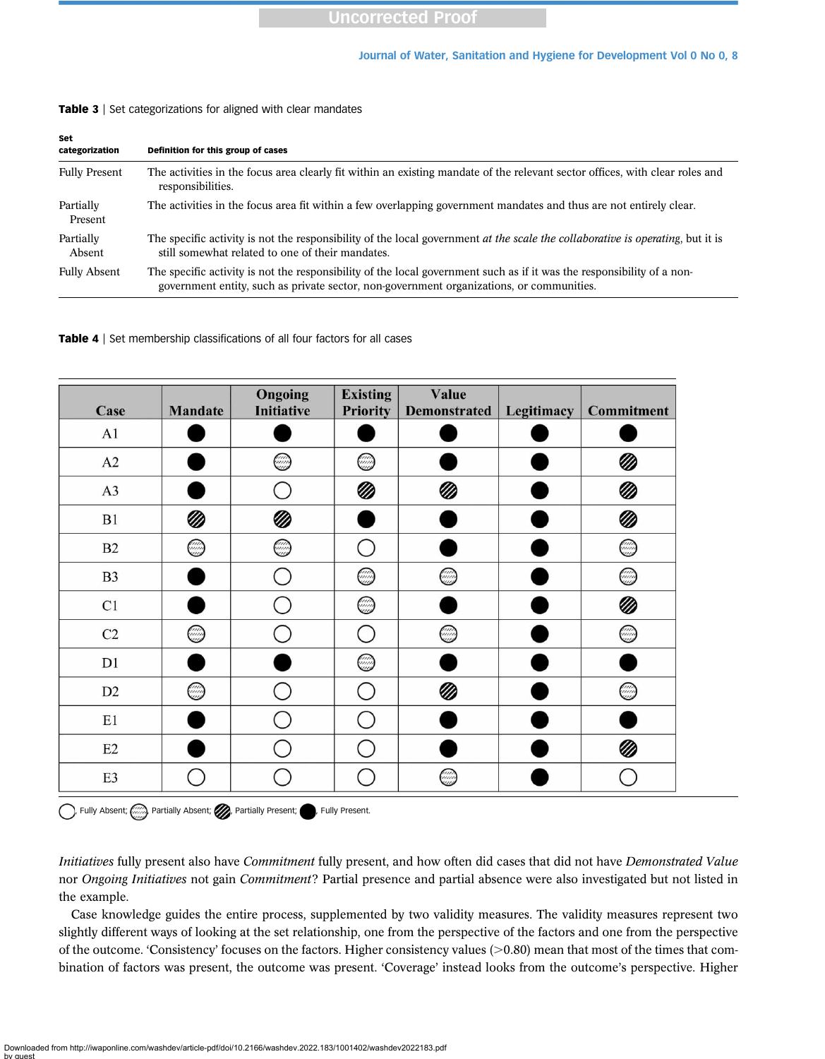| Set<br>categorization | Definition for this group of cases                                                                                                                                                                                 |
|-----------------------|--------------------------------------------------------------------------------------------------------------------------------------------------------------------------------------------------------------------|
| <b>Fully Present</b>  | The activities in the focus area clearly fit within an existing mandate of the relevant sector offices, with clear roles and<br>responsibilities.                                                                  |
| Partially<br>Present  | The activities in the focus area fit within a few overlapping government mandates and thus are not entirely clear.                                                                                                 |
| Partially<br>Absent   | The specific activity is not the responsibility of the local government <i>at the scale the collaborative is operating</i> , but it is<br>still somewhat related to one of their mandates.                         |
| <b>Fully Absent</b>   | The specific activity is not the responsibility of the local government such as if it was the responsibility of a non-<br>government entity, such as private sector, non-government organizations, or communities. |

#### <span id="page-7-0"></span>Table 3 | Set categorizations for aligned with clear mandates

Table 4 | Set membership classifications of all four factors for all cases

| Case           | <b>Mandate</b> | Ongoing<br><b>Initiative</b> | <b>Existing</b><br><b>Priority</b> | Value<br><b>Demonstrated</b> | Legitimacy | Commitment |
|----------------|----------------|------------------------------|------------------------------------|------------------------------|------------|------------|
| A <sub>1</sub> |                |                              |                                    |                              |            |            |
| A2             |                | ◎                            | ◎                                  |                              |            | Ø          |
| A3             |                |                              | Ø                                  | Ø                            |            | Ø          |
| B1             |                | Ø                            |                                    |                              |            | Ø          |
| B2             | ☺              | ◎                            |                                    |                              |            | ☺          |
| <b>B3</b>      |                |                              | ◎                                  | ◎                            |            | ◎          |
| C1             |                |                              | ☺                                  |                              |            | Ø          |
| C2             | ☺              |                              |                                    | ◎                            |            | ☺          |
| D1             |                |                              | ☺                                  |                              |            |            |
| D <sub>2</sub> | ◎              |                              |                                    |                              |            | ◎          |
| E1             |                |                              |                                    |                              |            |            |
| E2             |                |                              |                                    |                              |            |            |
| E3             |                |                              |                                    | ☺                            |            |            |

(iii), Fully Absent;  $\bigcirc$  Partially Absent;  $\bigcirc$  Partially Present;  $\bigcirc$ , Fully Present.

Initiatives fully present also have Commitment fully present, and how often did cases that did not have Demonstrated Value nor Ongoing Initiatives not gain Commitment? Partial presence and partial absence were also investigated but not listed in the example.

Case knowledge guides the entire process, supplemented by two validity measures. The validity measures represent two slightly different ways of looking at the set relationship, one from the perspective of the factors and one from the perspective of the outcome. 'Consistency' focuses on the factors. Higher consistency values  $(>0.80)$  mean that most of the times that combination of factors was present, the outcome was present. 'Coverage' instead looks from the outcome's perspective. Higher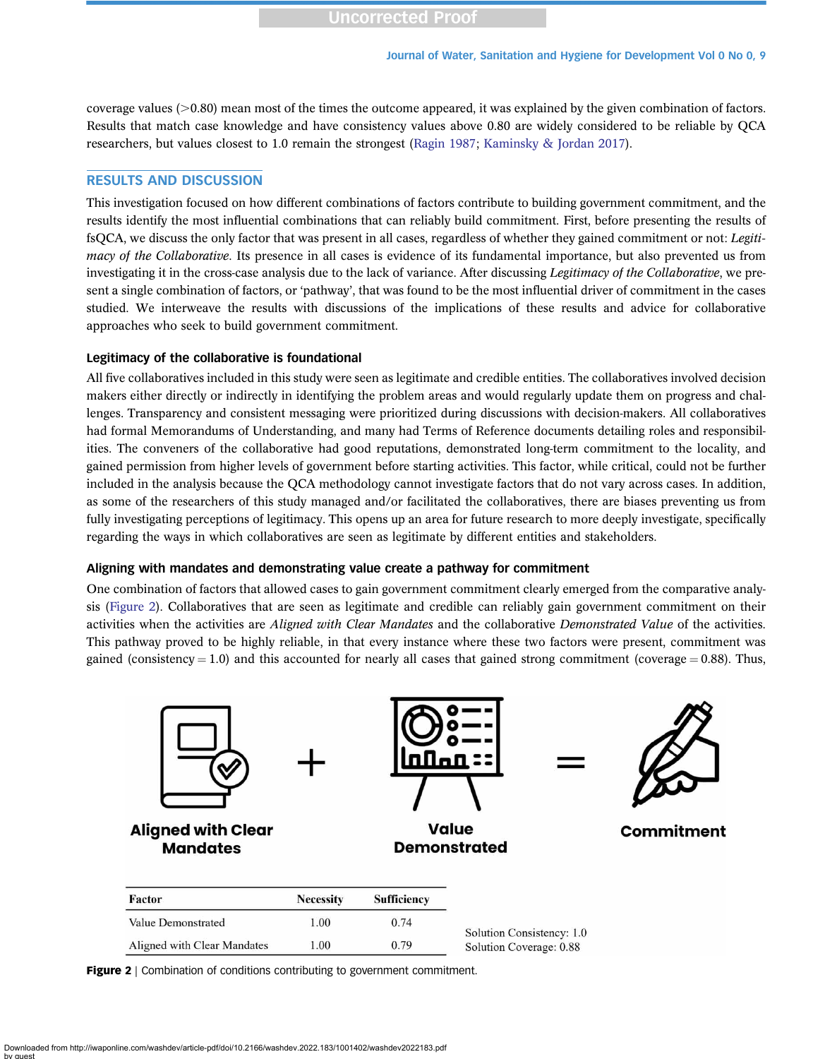coverage values  $(0.80)$  mean most of the times the outcome appeared, it was explained by the given combination of factors. Results that match case knowledge and have consistency values above 0.80 are widely considered to be reliable by QCA researchers, but values closest to 1.0 remain the strongest ([Ragin 1987;](#page-12-0) [Kaminsky & Jordan 2017](#page-12-0)).

# RESULTS AND DISCUSSION

This investigation focused on how different combinations of factors contribute to building government commitment, and the results identify the most influential combinations that can reliably build commitment. First, before presenting the results of fsQCA, we discuss the only factor that was present in all cases, regardless of whether they gained commitment or not: Legitimacy of the Collaborative. Its presence in all cases is evidence of its fundamental importance, but also prevented us from investigating it in the cross-case analysis due to the lack of variance. After discussing *Legitimacy of the Collaborative*, we present a single combination of factors, or 'pathway', that was found to be the most influential driver of commitment in the cases studied. We interweave the results with discussions of the implications of these results and advice for collaborative approaches who seek to build government commitment.

### Legitimacy of the collaborative is foundational

All five collaboratives included in this study were seen as legitimate and credible entities. The collaboratives involved decision makers either directly or indirectly in identifying the problem areas and would regularly update them on progress and challenges. Transparency and consistent messaging were prioritized during discussions with decision-makers. All collaboratives had formal Memorandums of Understanding, and many had Terms of Reference documents detailing roles and responsibilities. The conveners of the collaborative had good reputations, demonstrated long-term commitment to the locality, and gained permission from higher levels of government before starting activities. This factor, while critical, could not be further included in the analysis because the QCA methodology cannot investigate factors that do not vary across cases. In addition, as some of the researchers of this study managed and/or facilitated the collaboratives, there are biases preventing us from fully investigating perceptions of legitimacy. This opens up an area for future research to more deeply investigate, specifically regarding the ways in which collaboratives are seen as legitimate by different entities and stakeholders.

#### Aligning with mandates and demonstrating value create a pathway for commitment

One combination of factors that allowed cases to gain government commitment clearly emerged from the comparative analysis (Figure 2). Collaboratives that are seen as legitimate and credible can reliably gain government commitment on their activities when the activities are Aligned with Clear Mandates and the collaborative Demonstrated Value of the activities. This pathway proved to be highly reliable, in that every instance where these two factors were present, commitment was gained (consistency  $= 1.0$ ) and this accounted for nearly all cases that gained strong commitment (coverage  $= 0.88$ ). Thus,



Figure 2 | Combination of conditions contributing to government commitment.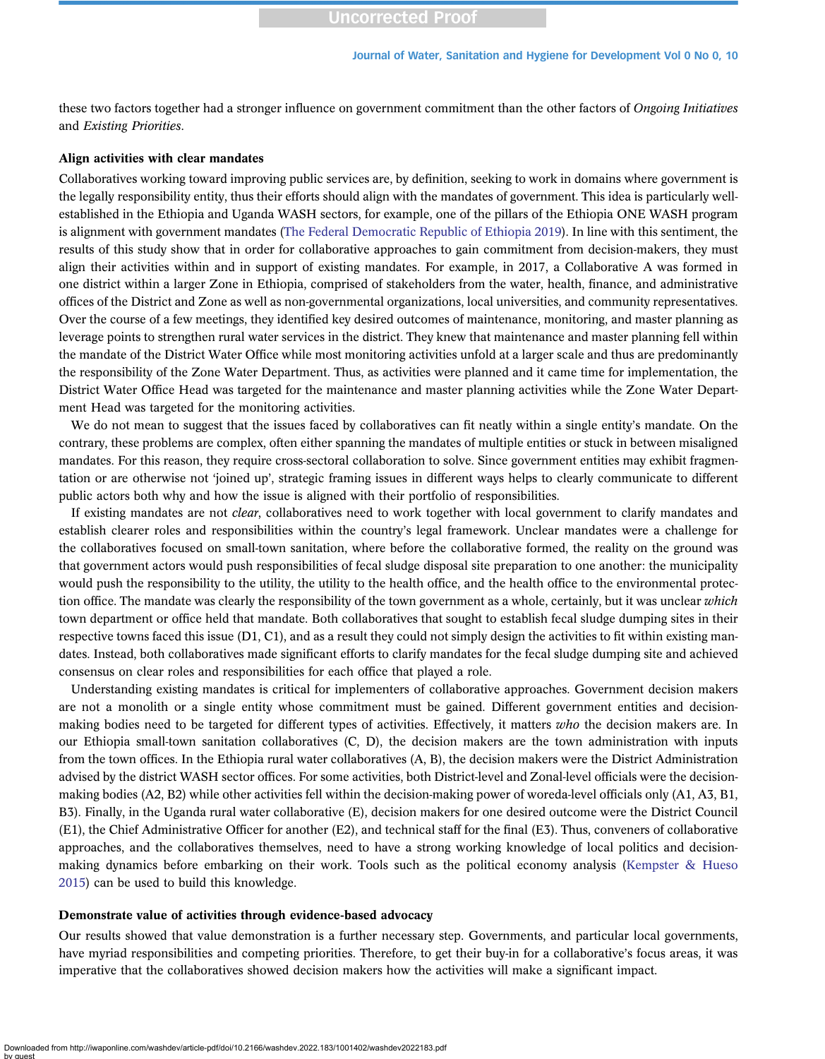these two factors together had a stronger influence on government commitment than the other factors of Ongoing Initiatives and Existing Priorities.

#### Align activities with clear mandates

Collaboratives working toward improving public services are, by definition, seeking to work in domains where government is the legally responsibility entity, thus their efforts should align with the mandates of government. This idea is particularly wellestablished in the Ethiopia and Uganda WASH sectors, for example, one of the pillars of the Ethiopia ONE WASH program is alignment with government mandates ([The Federal Democratic Republic of Ethiopia 2019\)](#page-12-0). In line with this sentiment, the results of this study show that in order for collaborative approaches to gain commitment from decision-makers, they must align their activities within and in support of existing mandates. For example, in 2017, a Collaborative A was formed in one district within a larger Zone in Ethiopia, comprised of stakeholders from the water, health, finance, and administrative offices of the District and Zone as well as non-governmental organizations, local universities, and community representatives. Over the course of a few meetings, they identified key desired outcomes of maintenance, monitoring, and master planning as leverage points to strengthen rural water services in the district. They knew that maintenance and master planning fell within the mandate of the District Water Office while most monitoring activities unfold at a larger scale and thus are predominantly the responsibility of the Zone Water Department. Thus, as activities were planned and it came time for implementation, the District Water Office Head was targeted for the maintenance and master planning activities while the Zone Water Department Head was targeted for the monitoring activities.

We do not mean to suggest that the issues faced by collaboratives can fit neatly within a single entity's mandate. On the contrary, these problems are complex, often either spanning the mandates of multiple entities or stuck in between misaligned mandates. For this reason, they require cross-sectoral collaboration to solve. Since government entities may exhibit fragmentation or are otherwise not 'joined up', strategic framing issues in different ways helps to clearly communicate to different public actors both why and how the issue is aligned with their portfolio of responsibilities.

If existing mandates are not *clear*, collaboratives need to work together with local government to clarify mandates and establish clearer roles and responsibilities within the country's legal framework. Unclear mandates were a challenge for the collaboratives focused on small-town sanitation, where before the collaborative formed, the reality on the ground was that government actors would push responsibilities of fecal sludge disposal site preparation to one another: the municipality would push the responsibility to the utility, the utility to the health office, and the health office to the environmental protection office. The mandate was clearly the responsibility of the town government as a whole, certainly, but it was unclear which town department or office held that mandate. Both collaboratives that sought to establish fecal sludge dumping sites in their respective towns faced this issue (D1, C1), and as a result they could not simply design the activities to fit within existing mandates. Instead, both collaboratives made significant efforts to clarify mandates for the fecal sludge dumping site and achieved consensus on clear roles and responsibilities for each office that played a role.

Understanding existing mandates is critical for implementers of collaborative approaches. Government decision makers are not a monolith or a single entity whose commitment must be gained. Different government entities and decisionmaking bodies need to be targeted for different types of activities. Effectively, it matters  $who$  the decision makers are. In our Ethiopia small-town sanitation collaboratives (C, D), the decision makers are the town administration with inputs from the town offices. In the Ethiopia rural water collaboratives (A, B), the decision makers were the District Administration advised by the district WASH sector offices. For some activities, both District-level and Zonal-level officials were the decisionmaking bodies (A2, B2) while other activities fell within the decision-making power of woreda-level officials only (A1, A3, B1, B3). Finally, in the Uganda rural water collaborative (E), decision makers for one desired outcome were the District Council (E1), the Chief Administrative Officer for another (E2), and technical staff for the final (E3). Thus, conveners of collaborative approaches, and the collaboratives themselves, need to have a strong working knowledge of local politics and decisionmaking dynamics before embarking on their work. Tools such as the political economy analysis ([Kempster & Hueso](#page-12-0) [2015](#page-12-0)) can be used to build this knowledge.

#### Demonstrate value of activities through evidence-based advocacy

Our results showed that value demonstration is a further necessary step. Governments, and particular local governments, have myriad responsibilities and competing priorities. Therefore, to get their buy-in for a collaborative's focus areas, it was imperative that the collaboratives showed decision makers how the activities will make a significant impact.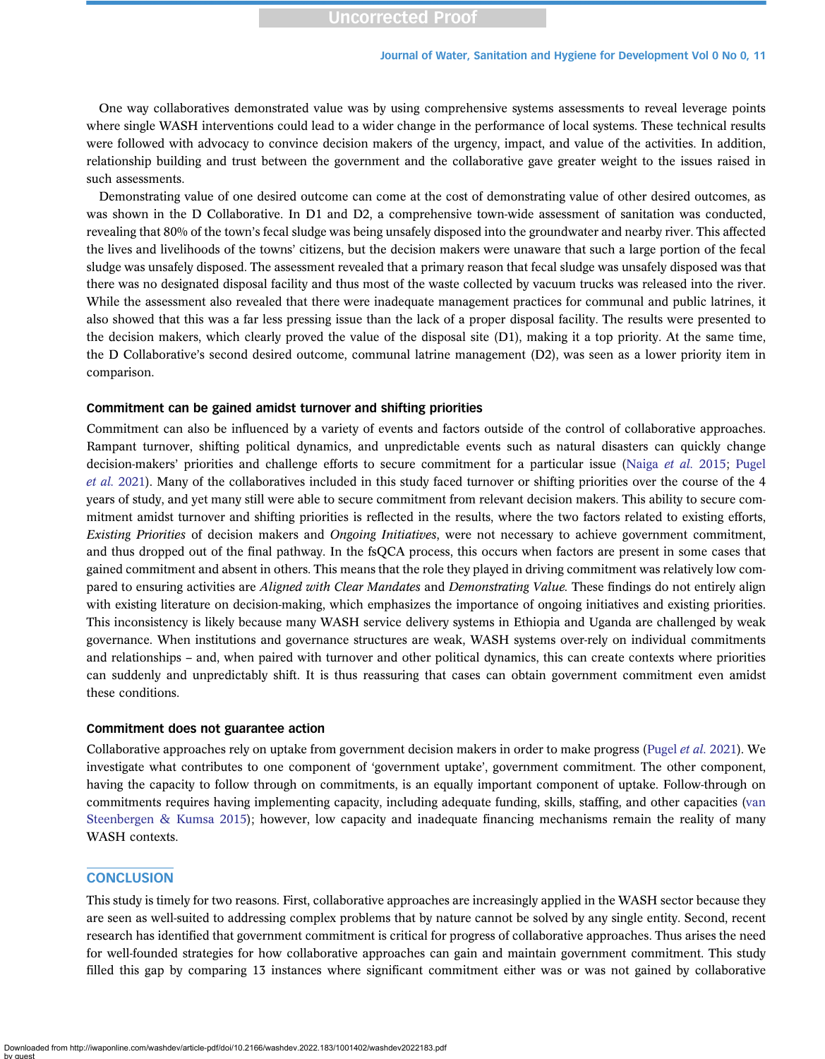One way collaboratives demonstrated value was by using comprehensive systems assessments to reveal leverage points where single WASH interventions could lead to a wider change in the performance of local systems. These technical results were followed with advocacy to convince decision makers of the urgency, impact, and value of the activities. In addition, relationship building and trust between the government and the collaborative gave greater weight to the issues raised in such assessments.

Demonstrating value of one desired outcome can come at the cost of demonstrating value of other desired outcomes, as was shown in the D Collaborative. In D1 and D2, a comprehensive town-wide assessment of sanitation was conducted, revealing that 80% of the town's fecal sludge was being unsafely disposed into the groundwater and nearby river. This affected the lives and livelihoods of the towns' citizens, but the decision makers were unaware that such a large portion of the fecal sludge was unsafely disposed. The assessment revealed that a primary reason that fecal sludge was unsafely disposed was that there was no designated disposal facility and thus most of the waste collected by vacuum trucks was released into the river. While the assessment also revealed that there were inadequate management practices for communal and public latrines, it also showed that this was a far less pressing issue than the lack of a proper disposal facility. The results were presented to the decision makers, which clearly proved the value of the disposal site (D1), making it a top priority. At the same time, the D Collaborative's second desired outcome, communal latrine management (D2), was seen as a lower priority item in comparison.

#### Commitment can be gained amidst turnover and shifting priorities

Commitment can also be influenced by a variety of events and factors outside of the control of collaborative approaches. Rampant turnover, shifting political dynamics, and unpredictable events such as natural disasters can quickly change decision-makers' priorities and challenge efforts to secure commitment for a particular issue ([Naiga](#page-12-0) et al. 2015; [Pugel](#page-12-0) [et al.](#page-12-0) 2021). Many of the collaboratives included in this study faced turnover or shifting priorities over the course of the 4 years of study, and yet many still were able to secure commitment from relevant decision makers. This ability to secure commitment amidst turnover and shifting priorities is reflected in the results, where the two factors related to existing efforts, Existing Priorities of decision makers and Ongoing Initiatives, were not necessary to achieve government commitment, and thus dropped out of the final pathway. In the fsQCA process, this occurs when factors are present in some cases that gained commitment and absent in others. This means that the role they played in driving commitment was relatively low compared to ensuring activities are *Aligned with Clear Mandates* and *Demonstrating Value*. These findings do not entirely align with existing literature on decision-making, which emphasizes the importance of ongoing initiatives and existing priorities. This inconsistency is likely because many WASH service delivery systems in Ethiopia and Uganda are challenged by weak governance. When institutions and governance structures are weak, WASH systems over-rely on individual commitments and relationships – and, when paired with turnover and other political dynamics, this can create contexts where priorities can suddenly and unpredictably shift. It is thus reassuring that cases can obtain government commitment even amidst these conditions.

#### Commitment does not guarantee action

Collaborative approaches rely on uptake from government decision makers in order to make progress [\(Pugel](#page-12-0) *et al.* 2021). We investigate what contributes to one component of 'government uptake', government commitment. The other component, having the capacity to follow through on commitments, is an equally important component of uptake. Follow-through on commitments requires having implementing capacity, including adequate funding, skills, staffing, and other capacities [\(van](#page-12-0) [Steenbergen & Kumsa 2015](#page-12-0)); however, low capacity and inadequate financing mechanisms remain the reality of many WASH contexts.

# **CONCLUSION**

This study is timely for two reasons. First, collaborative approaches are increasingly applied in the WASH sector because they are seen as well-suited to addressing complex problems that by nature cannot be solved by any single entity. Second, recent research has identified that government commitment is critical for progress of collaborative approaches. Thus arises the need for well-founded strategies for how collaborative approaches can gain and maintain government commitment. This study filled this gap by comparing 13 instances where significant commitment either was or was not gained by collaborative

Downloaded from http://iwaponline.com/washdev/article-pdf/doi/10.2166/washdev.2022.183/1001402/washdev2022183.pdf by guest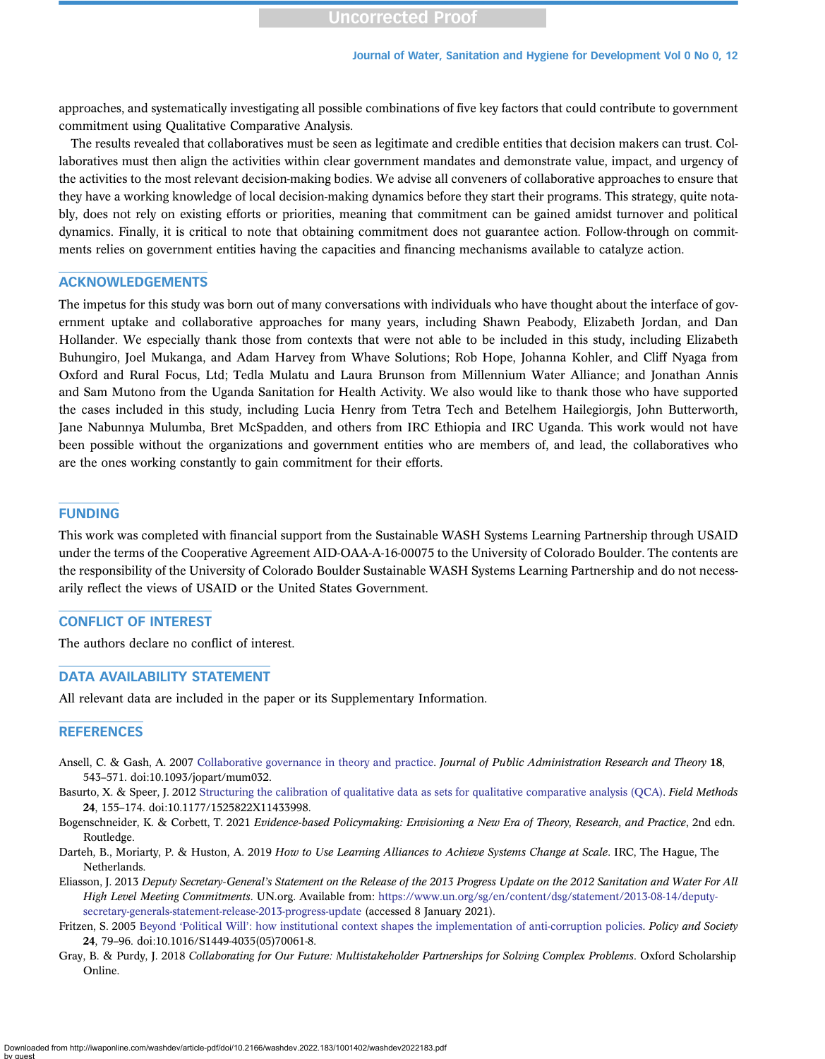<span id="page-11-0"></span>approaches, and systematically investigating all possible combinations of five key factors that could contribute to government commitment using Qualitative Comparative Analysis.

The results revealed that collaboratives must be seen as legitimate and credible entities that decision makers can trust. Collaboratives must then align the activities within clear government mandates and demonstrate value, impact, and urgency of the activities to the most relevant decision-making bodies. We advise all conveners of collaborative approaches to ensure that they have a working knowledge of local decision-making dynamics before they start their programs. This strategy, quite notably, does not rely on existing efforts or priorities, meaning that commitment can be gained amidst turnover and political dynamics. Finally, it is critical to note that obtaining commitment does not guarantee action. Follow-through on commitments relies on government entities having the capacities and financing mechanisms available to catalyze action.

#### ACKNOWLEDGEMENTS

The impetus for this study was born out of many conversations with individuals who have thought about the interface of government uptake and collaborative approaches for many years, including Shawn Peabody, Elizabeth Jordan, and Dan Hollander. We especially thank those from contexts that were not able to be included in this study, including Elizabeth Buhungiro, Joel Mukanga, and Adam Harvey from Whave Solutions; Rob Hope, Johanna Kohler, and Cliff Nyaga from Oxford and Rural Focus, Ltd; Tedla Mulatu and Laura Brunson from Millennium Water Alliance; and Jonathan Annis and Sam Mutono from the Uganda Sanitation for Health Activity. We also would like to thank those who have supported the cases included in this study, including Lucia Henry from Tetra Tech and Betelhem Hailegiorgis, John Butterworth, Jane Nabunnya Mulumba, Bret McSpadden, and others from IRC Ethiopia and IRC Uganda. This work would not have been possible without the organizations and government entities who are members of, and lead, the collaboratives who are the ones working constantly to gain commitment for their efforts.

#### FUNDING

This work was completed with financial support from the Sustainable WASH Systems Learning Partnership through USAID under the terms of the Cooperative Agreement AID-OAA-A-16-00075 to the University of Colorado Boulder. The contents are the responsibility of the University of Colorado Boulder Sustainable WASH Systems Learning Partnership and do not necessarily reflect the views of USAID or the United States Government.

# CONFLICT OF INTEREST

The authors declare no conflict of interest.

#### DATA AVAILABILITY STATEMENT

All relevant data are included in the paper or its Supplementary Information.

#### **REFERENCES**

- Ansell, C. & Gash, A. 2007 [Collaborative governance in theory and practice](http://dx.doi.org/10.1093/jopart/mum032). Journal of Public Administration Research and Theory 18, 543–571. doi:10.1093/jopart/mum032.
- Basurto, X. & Speer, J. 2012 [Structuring the calibration of qualitative data as sets for qualitative comparative analysis \(QCA\).](http://dx.doi.org/10.1177/1525822X11433998) Field Methods 24, 155–174. doi:10.1177/1525822X11433998.
- Bogenschneider, K. & Corbett, T. 2021 Evidence-based Policymaking: Envisioning a New Era of Theory, Research, and Practice, 2nd edn. Routledge.
- Darteh, B., Moriarty, P. & Huston, A. 2019 How to Use Learning Alliances to Achieve Systems Change at Scale. IRC, The Hague, The Netherlands.
- Eliasson, J. 2013 Deputy Secretary-General's Statement on the Release of the 2013 Progress Update on the 2012 Sanitation and Water For All High Level Meeting Commitments. UN.org. Available from: [https://www.un.org/sg/en/content/dsg/statement/2013-08-14/deputy](https://www.un.org/sg/en/content/dsg/statement/2013-08-14/deputy-secretary-generals-statement-release-2013-progress-update)[secretary-generals-statement-release-2013-progress-update](https://www.un.org/sg/en/content/dsg/statement/2013-08-14/deputy-secretary-generals-statement-release-2013-progress-update) (accessed 8 January 2021).
- Fritzen, S. 2005 Beyond 'Political Will'[: how institutional context shapes the implementation of anti-corruption policies.](http://dx.doi.org/10.1016/S1449-4035(05)70061-8) Policy and Society 24, 79–96. doi:10.1016/S1449-4035(05)70061-8.
- Gray, B. & Purdy, J. 2018 Collaborating for Our Future: Multistakeholder Partnerships for Solving Complex Problems. Oxford Scholarship Online.